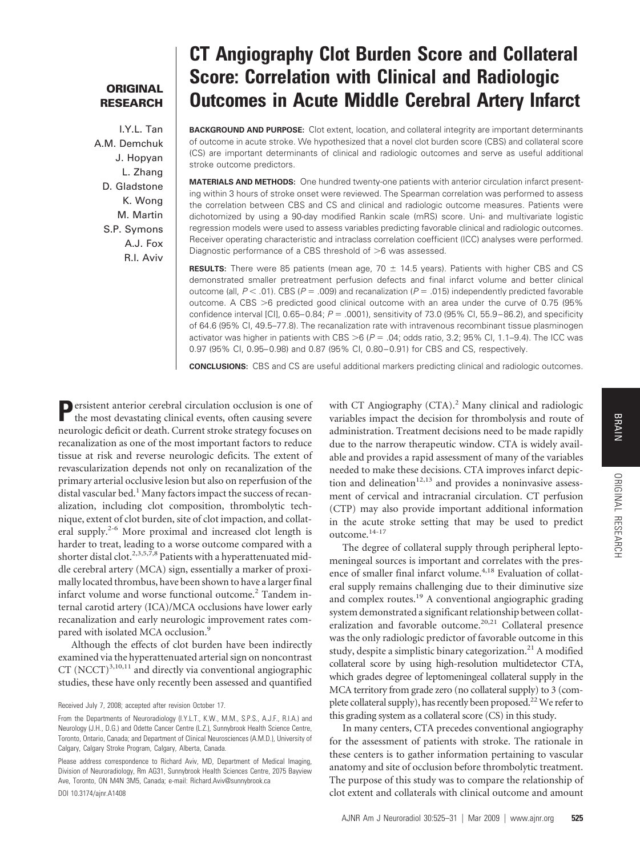# **ORIGINAL RESEARCH**

I.Y.L. Tan A.M. Demchuk J. Hopyan L. Zhang D. Gladstone K. Wong M. Martin S.P. Symons A.J. Fox R.I. Aviv

# **CT Angiography Clot Burden Score and Collateral Score: Correlation with Clinical and Radiologic Outcomes in Acute Middle Cerebral Artery Infarct**

**BACKGROUND AND PURPOSE:** Clot extent, location, and collateral integrity are important determinants of outcome in acute stroke. We hypothesized that a novel clot burden score (CBS) and collateral score (CS) are important determinants of clinical and radiologic outcomes and serve as useful additional stroke outcome predictors.

**MATERIALS AND METHODS:** One hundred twenty-one patients with anterior circulation infarct presenting within 3 hours of stroke onset were reviewed. The Spearman correlation was performed to assess the correlation between CBS and CS and clinical and radiologic outcome measures. Patients were dichotomized by using a 90-day modified Rankin scale (mRS) score. Uni- and multivariate logistic regression models were used to assess variables predicting favorable clinical and radiologic outcomes. Receiver operating characteristic and intraclass correlation coefficient (ICC) analyses were performed. Diagnostic performance of a CBS threshold of  $>6$  was assessed.

RESULTS: There were 85 patients (mean age, 70  $\pm$  14.5 years). Patients with higher CBS and CS demonstrated smaller pretreatment perfusion defects and final infarct volume and better clinical outcome (all,  $P < .01$ ). CBS ( $P = .009$ ) and recanalization ( $P = .015$ ) independently predicted favorable outcome. A CBS  $>6$  predicted good clinical outcome with an area under the curve of 0.75 (95%) confidence interval [CI], 0.65–0.84; *P* = .0001), sensitivity of 73.0 (95% CI, 55.9–86.2), and specificity of 64.6 (95% CI, 49.5–77.8). The recanalization rate with intravenous recombinant tissue plasminogen activator was higher in patients with CBS  $>6$  ( $P = .04$ ; odds ratio, 3.2; 95% CI, 1.1–9.4). The ICC was 0.97 (95% CI, 0.95– 0.98) and 0.87 (95% CI, 0.80 – 0.91) for CBS and CS, respectively.

**CONCLUSIONS:** CBS and CS are useful additional markers predicting clinical and radiologic outcomes.

**P**ersistent anterior cerebral circulation occlusion is one of the most devastating clinical events, often causing severe neurologic deficit or death. Current stroke strategy focuses on recanalization as one of the most important factors to reduce tissue at risk and reverse neurologic deficits. The extent of revascularization depends not only on recanalization of the primary arterial occlusive lesion but also on reperfusion of the distal vascular bed.<sup>1</sup> Many factors impact the success of recanalization, including clot composition, thrombolytic technique, extent of clot burden, site of clot impaction, and collateral supply.2-6 More proximal and increased clot length is harder to treat, leading to a worse outcome compared with a shorter distal clot.<sup>2,3,5,7,8</sup> Patients with a hyperattenuated middle cerebral artery (MCA) sign, essentially a marker of proximally located thrombus, have been shown to have a larger final infarct volume and worse functional outcome.<sup>2</sup> Tandem internal carotid artery (ICA)/MCA occlusions have lower early recanalization and early neurologic improvement rates compared with isolated MCA occlusion.<sup>9</sup>

Although the effects of clot burden have been indirectly examined via the hyperattenuated arterial sign on noncontrast CT  $(NCCT)^{3,10,11}$  and directly via conventional angiographic studies, these have only recently been assessed and quantified

Received July 7, 2008; accepted after revision October 17.

with CT Angiography (CTA).<sup>2</sup> Many clinical and radiologic variables impact the decision for thrombolysis and route of administration. Treatment decisions need to be made rapidly due to the narrow therapeutic window. CTA is widely available and provides a rapid assessment of many of the variables needed to make these decisions. CTA improves infarct depiction and delineation $12,13$  and provides a noninvasive assessment of cervical and intracranial circulation. CT perfusion (CTP) may also provide important additional information in the acute stroke setting that may be used to predict outcome.14-17

The degree of collateral supply through peripheral leptomeningeal sources is important and correlates with the presence of smaller final infarct volume.<sup>4,18</sup> Evaluation of collateral supply remains challenging due to their diminutive size and complex routes.19 A conventional angiographic grading system demonstrated a significant relationship between collateralization and favorable outcome.<sup>20,21</sup> Collateral presence was the only radiologic predictor of favorable outcome in this study, despite a simplistic binary categorization.<sup>21</sup> A modified collateral score by using high-resolution multidetector CTA, which grades degree of leptomeningeal collateral supply in the MCA territory from grade zero (no collateral supply) to 3 (complete collateral supply), has recently been proposed.<sup>22</sup> We refer to this grading system as a collateral score (CS) in this study.

In many centers, CTA precedes conventional angiography for the assessment of patients with stroke. The rationale in these centers is to gather information pertaining to vascular anatomy and site of occlusion before thrombolytic treatment. The purpose of this study was to compare the relationship of clot extent and collaterals with clinical outcome and amount

ORIGINALDRIGINAL RESEARCH

RESEARCH

From the Departments of Neuroradiology (I.Y.L.T., K.W., M.M., S.P.S., A.J.F., R.I.A.) and Neurology (J.H., D.G.) and Odette Cancer Centre (L.Z.), Sunnybrook Health Science Centre, Toronto, Ontario, Canada; and Department of Clinical Neurosciences (A.M.D.), University of Calgary, Calgary Stroke Program, Calgary, Alberta, Canada.

Please address correspondence to Richard Aviv, MD, Department of Medical Imaging, Division of Neuroradiology, Rm AG31, Sunnybrook Health Sciences Centre, 2075 Bayview Ave, Toronto, ON M4N 3M5, Canada; e-mail: Richard.Aviv@sunnybrook.ca DOI 10.3174/ajnr.A1408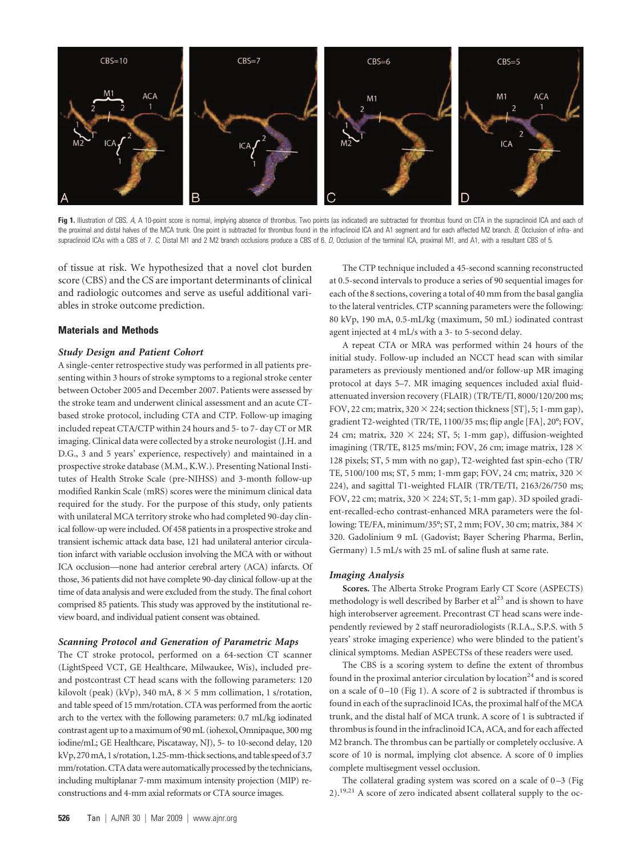

Fig 1. Illustration of CBS. A, A 10-point score is normal, implying absence of thrombus. Two points (as indicated) are subtracted for thrombus found on CTA in the supraclinoid ICA and each of the proximal and distal halves of the MCA trunk. One point is subtracted for thrombus found in the infraclinoid ICA and A1 segment and for each affected M2 branch. *B*, Occlusion of infra- and supraclinoid ICAs with a CBS of 7. *C*, Distal M1 and 2 M2 branch occlusions produce a CBS of 6. *D*, Occlusion of the terminal ICA, proximal M1, and A1, with a resultant CBS of 5.

of tissue at risk. We hypothesized that a novel clot burden score (CBS) and the CS are important determinants of clinical and radiologic outcomes and serve as useful additional variables in stroke outcome prediction.

### **Materials and Methods**

# *Study Design and Patient Cohort*

A single-center retrospective study was performed in all patients presenting within 3 hours of stroke symptoms to a regional stroke center between October 2005 and December 2007. Patients were assessed by the stroke team and underwent clinical assessment and an acute CTbased stroke protocol, including CTA and CTP. Follow-up imaging included repeat CTA/CTP within 24 hours and 5- to 7- day CT or MR imaging. Clinical data were collected by a stroke neurologist (J.H. and D.G., 3 and 5 years' experience, respectively) and maintained in a prospective stroke database (M.M., K.W.). Presenting National Institutes of Health Stroke Scale (pre-NIHSS) and 3-month follow-up modified Rankin Scale (mRS) scores were the minimum clinical data required for the study. For the purpose of this study, only patients with unilateral MCA territory stroke who had completed 90-day clinical follow-up were included. Of 458 patients in a prospective stroke and transient ischemic attack data base, 121 had unilateral anterior circulation infarct with variable occlusion involving the MCA with or without ICA occlusion—none had anterior cerebral artery (ACA) infarcts. Of those, 36 patients did not have complete 90-day clinical follow-up at the time of data analysis and were excluded from the study. The final cohort comprised 85 patients. This study was approved by the institutional review board, and individual patient consent was obtained.

#### *Scanning Protocol and Generation of Parametric Maps*

The CT stroke protocol, performed on a 64-section CT scanner (LightSpeed VCT, GE Healthcare, Milwaukee, Wis), included preand postcontrast CT head scans with the following parameters: 120 kilovolt (peak) (kVp), 340 mA,  $8 \times 5$  mm collimation, 1 s/rotation, and table speed of 15 mm/rotation. CTA was performed from the aortic arch to the vertex with the following parameters: 0.7 mL/kg iodinated contrast agent up to a maximum of 90 mL (iohexol, Omnipaque, 300 mg iodine/mL; GE Healthcare, Piscataway, NJ), 5- to 10-second delay, 120 kVp, 270mA, 1 s/rotation, 1.25-mm-thick sections, and table speed of 3.7 mm/rotation.CTA datawere automatically processed by the technicians, including multiplanar 7-mm maximum intensity projection (MIP) reconstructions and 4-mm axial reformats or CTA source images.

The CTP technique included a 45-second scanning reconstructed at 0.5-second intervals to produce a series of 90 sequential images for each of the 8 sections, covering a total of 40 mm from the basal ganglia to the lateral ventricles. CTP scanning parameters were the following: 80 kVp, 190 mA, 0.5-mL/kg (maximum, 50 mL) iodinated contrast agent injected at 4 mL/s with a 3- to 5-second delay.

A repeat CTA or MRA was performed within 24 hours of the initial study. Follow-up included an NCCT head scan with similar parameters as previously mentioned and/or follow-up MR imaging protocol at days 5–7. MR imaging sequences included axial fluidattenuated inversion recovery (FLAIR) (TR/TE/TI, 8000/120/200 ms; FOV, 22 cm; matrix,  $320 \times 224$ ; section thickness [ST], 5; 1-mm gap), gradient T2-weighted (TR/TE, 1100/35 ms; flip angle [FA], 20°; FOV, 24 cm; matrix,  $320 \times 224$ ; ST, 5; 1-mm gap), diffusion-weighted imagining (TR/TE, 8125 ms/min; FOV, 26 cm; image matrix,  $128 \times$ 128 pixels; ST, 5 mm with no gap), T2-weighted fast spin-echo (TR/ TE, 5100/100 ms; ST, 5 mm; 1-mm gap; FOV, 24 cm; matrix, 320 224), and sagittal T1-weighted FLAIR (TR/TE/TI, 2163/26/750 ms; FOV, 22 cm; matrix,  $320 \times 224$ ; ST, 5; 1-mm gap). 3D spoiled gradient-recalled-echo contrast-enhanced MRA parameters were the following: TE/FA, minimum/35°; ST, 2 mm; FOV, 30 cm; matrix, 384  $\times$ 320. Gadolinium 9 mL (Gadovist; Bayer Schering Pharma, Berlin, Germany) 1.5 mL/s with 25 mL of saline flush at same rate.

#### *Imaging Analysis*

**Scores.** The Alberta Stroke Program Early CT Score (ASPECTS) methodology is well described by Barber et al<sup>23</sup> and is shown to have high interobserver agreement. Precontrast CT head scans were independently reviewed by 2 staff neuroradiologists (R.I.A., S.P.S. with 5 years' stroke imaging experience) who were blinded to the patient's clinical symptoms. Median ASPECTSs of these readers were used.

The CBS is a scoring system to define the extent of thrombus found in the proximal anterior circulation by location $^{24}$  and is scored on a scale of  $0-10$  (Fig 1). A score of 2 is subtracted if thrombus is found in each of the supraclinoid ICAs, the proximal half of the MCA trunk, and the distal half of MCA trunk. A score of 1 is subtracted if thrombus is found in the infraclinoid ICA, ACA, and for each affected M2 branch. The thrombus can be partially or completely occlusive. A score of 10 is normal, implying clot absence. A score of 0 implies complete multisegment vessel occlusion.

The collateral grading system was scored on a scale of 0-3 (Fig 2).19,21 A score of zero indicated absent collateral supply to the oc-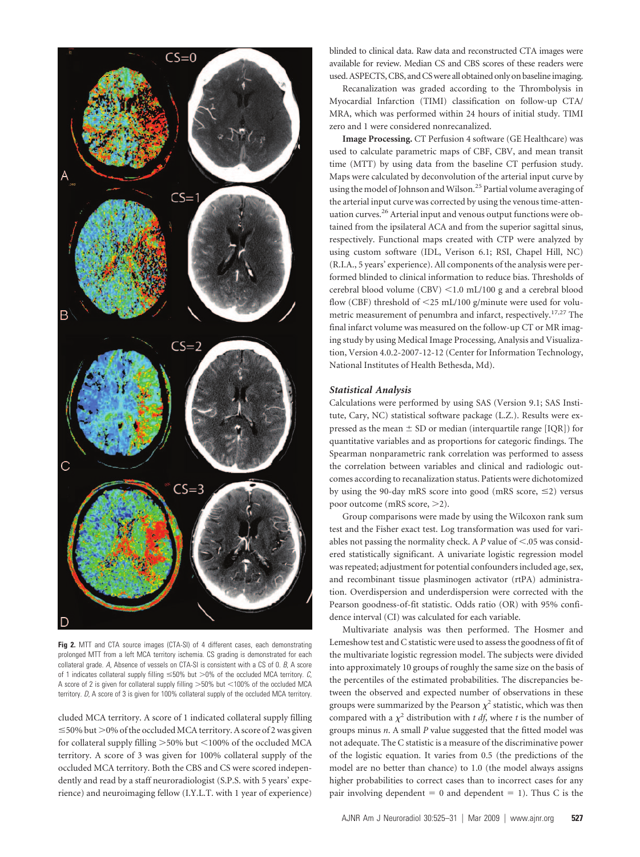

**Fig 2.** MTT and CTA source images (CTA-SI) of 4 different cases, each demonstrating prolonged MTT from a left MCA territory ischemia. CS grading is demonstrated for each collateral grade. *A*, Absence of vessels on CTA-SI is consistent with a CS of 0. *B*, A score of 1 indicates collateral supply filling  $\leq 50\%$  but  $>0\%$  of the occluded MCA territory. *C*, A score of 2 is given for collateral supply filling  $>50\%$  but  $<$  100% of the occluded MCA territory. *D*, A score of 3 is given for 100% collateral supply of the occluded MCA territory.

cluded MCA territory. A score of 1 indicated collateral supply filling  $\leq$ 50% but  $>$ 0% of the occluded MCA territory. A score of 2 was given for collateral supply filling  $>50\%$  but  $<100\%$  of the occluded MCA territory. A score of 3 was given for 100% collateral supply of the occluded MCA territory. Both the CBS and CS were scored independently and read by a staff neuroradiologist (S.P.S. with 5 years' experience) and neuroimaging fellow (I.Y.L.T. with 1 year of experience)

blinded to clinical data. Raw data and reconstructed CTA images were available for review. Median CS and CBS scores of these readers were used. ASPECTS, CBS, and CS were all obtained only on baseline imaging.

Recanalization was graded according to the Thrombolysis in Myocardial Infarction (TIMI) classification on follow-up CTA/ MRA, which was performed within 24 hours of initial study. TIMI zero and 1 were considered nonrecanalized.

**Image Processing.** CT Perfusion 4 software (GE Healthcare) was used to calculate parametric maps of CBF, CBV, and mean transit time (MTT) by using data from the baseline CT perfusion study. Maps were calculated by deconvolution of the arterial input curve by using the model of Johnson and Wilson.<sup>25</sup> Partial volume averaging of the arterial input curve was corrected by using the venous time-attenuation curves.<sup>26</sup> Arterial input and venous output functions were obtained from the ipsilateral ACA and from the superior sagittal sinus, respectively. Functional maps created with CTP were analyzed by using custom software (IDL, Verison 6.1; RSI, Chapel Hill, NC) (R.I.A., 5 years' experience). All components of the analysis were performed blinded to clinical information to reduce bias. Thresholds of cerebral blood volume  $(CBV) < 1.0$  mL/100 g and a cerebral blood flow (CBF) threshold of 25 mL/100 g/minute were used for volumetric measurement of penumbra and infarct, respectively.17,27 The final infarct volume was measured on the follow-up CT or MR imaging study by using Medical Image Processing, Analysis and Visualization, Version 4.0.2-2007-12-12 (Center for Information Technology, National Institutes of Health Bethesda, Md).

#### *Statistical Analysis*

Calculations were performed by using SAS (Version 9.1; SAS Institute, Cary, NC) statistical software package (L.Z.). Results were expressed as the mean  $\pm$  SD or median (interquartile range [IQR]) for quantitative variables and as proportions for categoric findings. The Spearman nonparametric rank correlation was performed to assess the correlation between variables and clinical and radiologic outcomes according to recanalization status. Patients were dichotomized by using the 90-day mRS score into good (mRS score,  $\leq$ 2) versus poor outcome (mRS score,  $>$ 2).

Group comparisons were made by using the Wilcoxon rank sum test and the Fisher exact test. Log transformation was used for variables not passing the normality check. A  $P$  value of  $\leq$ .05 was considered statistically significant. A univariate logistic regression model was repeated; adjustment for potential confounders included age, sex, and recombinant tissue plasminogen activator (rtPA) administration. Overdispersion and underdispersion were corrected with the Pearson goodness-of-fit statistic. Odds ratio (OR) with 95% confidence interval (CI) was calculated for each variable.

Multivariate analysis was then performed. The Hosmer and Lemeshow test and C statistic were used to assess the goodness of fit of the multivariate logistic regression model. The subjects were divided into approximately 10 groups of roughly the same size on the basis of the percentiles of the estimated probabilities. The discrepancies between the observed and expected number of observations in these groups were summarized by the Pearson  $\chi^2$  statistic, which was then compared with a  $\chi^2$  distribution with *t df*, where *t* is the number of groups minus *n*. A small *P* value suggested that the fitted model was not adequate. The C statistic is a measure of the discriminative power of the logistic equation. It varies from 0.5 (the predictions of the model are no better than chance) to 1.0 (the model always assigns higher probabilities to correct cases than to incorrect cases for any pair involving dependent  $= 0$  and dependent  $= 1$ ). Thus C is the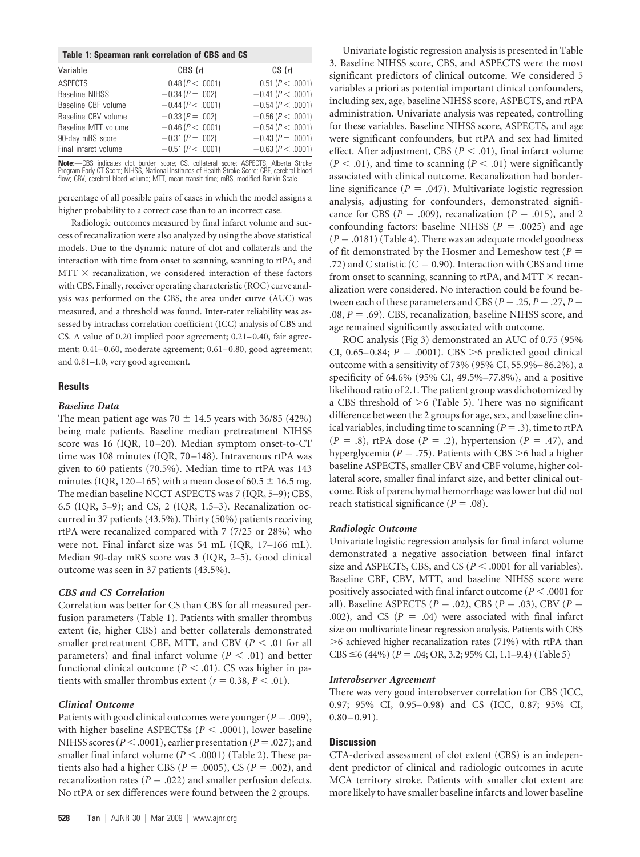|  |  | Table 1: Spearman rank correlation of CBS and CS |  |
|--|--|--------------------------------------------------|--|
|--|--|--------------------------------------------------|--|

| Variable              | CBS(h)                  | CS(h)                   |
|-----------------------|-------------------------|-------------------------|
| <b>ASPECTS</b>        | 0.48 (P<.0001)          | 0.51 (P<.0001)          |
| <b>Baseline NIHSS</b> | $-0.34(P = .002)$       | $-0.41 (P<.0001)$       |
| Baseline CBF volume   | $-0.44(P<.0001)$        | $-0.54$ ( $P < .0001$ ) |
| Baseline CBV volume   | $-0.33(P=.002)$         | $-0.56$ ( $P < .0001$ ) |
| Baseline MTT volume   | $-0.46$ ( $P < .0001$ ) | $-0.54$ ( $P < .0001$ ) |
| 90-day mRS score      | $-0.31 (P = .002)$      | $-0.43(P = .0001)$      |
| Final infarct volume  | $-0.51 (P<.0001)$       | $-0.63$ ( $P < .0001$ ) |
|                       |                         |                         |

**Note:**—CBS indicates clot burden score; CS, collateral score; ASPECTS, Alberta Stroke Program Early CT Score; NIHSS, National Institutes of Health Stroke Score; CBF, cerebral blood flow; CBV, cerebral blood volume; MTT, mean transit time; mRS, modified Rankin Scale.

percentage of all possible pairs of cases in which the model assigns a higher probability to a correct case than to an incorrect case.

Radiologic outcomes measured by final infarct volume and success of recanalization were also analyzed by using the above statistical models. Due to the dynamic nature of clot and collaterals and the interaction with time from onset to scanning, scanning to rtPA, and MTT  $\times$  recanalization, we considered interaction of these factors with CBS. Finally, receiver operating characteristic (ROC) curve analysis was performed on the CBS, the area under curve (AUC) was measured, and a threshold was found. Inter-rater reliability was assessed by intraclass correlation coefficient (ICC) analysis of CBS and CS. A value of 0.20 implied poor agreement; 0.21-0.40, fair agreement; 0.41-0.60, moderate agreement; 0.61-0.80, good agreement; and 0.81–1.0, very good agreement.

# **Results**

#### *Baseline Data*

The mean patient age was  $70 \pm 14.5$  years with 36/85 (42%) being male patients. Baseline median pretreatment NIHSS score was 16 (IQR, 10-20). Median symptom onset-to-CT time was 108 minutes (IQR, 70-148). Intravenous rtPA was given to 60 patients (70.5%). Median time to rtPA was 143 minutes (IQR, 120–165) with a mean dose of  $60.5 \pm 16.5$  mg. The median baseline NCCT ASPECTS was 7 (IQR, 5–9); CBS, 6.5 (IQR, 5–9); and CS, 2 (IQR, 1.5–3). Recanalization occurred in 37 patients (43.5%). Thirty (50%) patients receiving rtPA were recanalized compared with 7 (7/25 or 28%) who were not. Final infarct size was 54 mL (IQR, 17–166 mL). Median 90-day mRS score was 3 (IQR, 2–5). Good clinical outcome was seen in 37 patients (43.5%).

#### *CBS and CS Correlation*

Correlation was better for CS than CBS for all measured perfusion parameters (Table 1). Patients with smaller thrombus extent (ie, higher CBS) and better collaterals demonstrated smaller pretreatment CBF, MTT, and CBV ( $P < .01$  for all parameters) and final infarct volume  $(P < .01)$  and better functional clinical outcome ( $P < .01$ ). CS was higher in patients with smaller thrombus extent ( $r = 0.38$ ,  $P < .01$ ).

#### *Clinical Outcome*

Patients with good clinical outcomes were younger ( $P = .009$ ), with higher baseline ASPECTSs ( $P < .0001$ ), lower baseline NIHSS scores ( $P < .0001$ ), earlier presentation ( $P = .027$ ); and smaller final infarct volume ( $P < .0001$ ) (Table 2). These patients also had a higher CBS ( $P = .0005$ ), CS ( $P = .002$ ), and recanalization rates ( $P = .022$ ) and smaller perfusion defects. No rtPA or sex differences were found between the 2 groups.

Univariate logistic regression analysis is presented in Table 3. Baseline NIHSS score, CBS, and ASPECTS were the most significant predictors of clinical outcome. We considered 5 variables a priori as potential important clinical confounders, including sex, age, baseline NIHSS score, ASPECTS, and rtPA administration. Univariate analysis was repeated, controlling for these variables. Baseline NIHSS score, ASPECTS, and age were significant confounders, but rtPA and sex had limited effect. After adjustment, CBS ( $P < .01$ ), final infarct volume  $(P < .01)$ , and time to scanning  $(P < .01)$  were significantly associated with clinical outcome. Recanalization had borderline significance  $(P = .047)$ . Multivariate logistic regression analysis, adjusting for confounders, demonstrated significance for CBS ( $P = .009$ ), recanalization ( $P = .015$ ), and 2 confounding factors: baseline NIHSS ( $P = .0025$ ) and age  $(P = .0181)$  (Table 4). There was an adequate model goodness of fit demonstrated by the Hosmer and Lemeshow test (*P* .72) and C statistic ( $C = 0.90$ ). Interaction with CBS and time from onset to scanning, scanning to rtPA, and MTT  $\times$  recanalization were considered. No interaction could be found between each of these parameters and CBS ( $P = .25$ ,  $P = .27$ ,  $P =$ .08,  $P = .69$ ). CBS, recanalization, baseline NIHSS score, and age remained significantly associated with outcome.

ROC analysis (Fig 3) demonstrated an AUC of 0.75 (95% CI, 0.65–0.84;  $P = .0001$ ). CBS  $>6$  predicted good clinical outcome with a sensitivity of 73% (95% CI, 55.9%–86.2%), a specificity of 64.6% (95% CI, 49.5%–77.8%), and a positive likelihood ratio of 2.1. The patient group was dichotomized by a CBS threshold of  $\geq 6$  (Table 5). There was no significant difference between the 2 groups for age, sex, and baseline clinical variables, including time to scanning  $(P = .3)$ , time to rtPA  $(P = .8)$ , rtPA dose  $(P = .2)$ , hypertension  $(P = .47)$ , and hyperglycemia ( $P = .75$ ). Patients with CBS  $>6$  had a higher baseline ASPECTS, smaller CBV and CBF volume, higher collateral score, smaller final infarct size, and better clinical outcome. Risk of parenchymal hemorrhage was lower but did not reach statistical significance  $(P = .08)$ .

#### *Radiologic Outcome*

Univariate logistic regression analysis for final infarct volume demonstrated a negative association between final infarct size and ASPECTS, CBS, and CS ( $P < .0001$  for all variables). Baseline CBF, CBV, MTT, and baseline NIHSS score were positively associated with final infarct outcome ( $P < .0001$  for all). Baseline ASPECTS ( $P = .02$ ), CBS ( $P = .03$ ), CBV ( $P =$ .002), and CS  $(P = .04)$  were associated with final infarct size on multivariate linear regression analysis. Patients with CBS  $>6$  achieved higher recanalization rates (71%) with rtPA than  $CBS \leq 6$  (44%) ( $P = .04$ ; OR, 3.2; 95% CI, 1.1–9.4) (Table 5)

# *Interobserver Agreement*

There was very good interobserver correlation for CBS (ICC, 0.97; 95% CI, 0.95–0.98) and CS (ICC, 0.87; 95% CI,  $0.80 - 0.91$ .

# **Discussion**

CTA-derived assessment of clot extent (CBS) is an independent predictor of clinical and radiologic outcomes in acute MCA territory stroke. Patients with smaller clot extent are more likely to have smaller baseline infarcts and lower baseline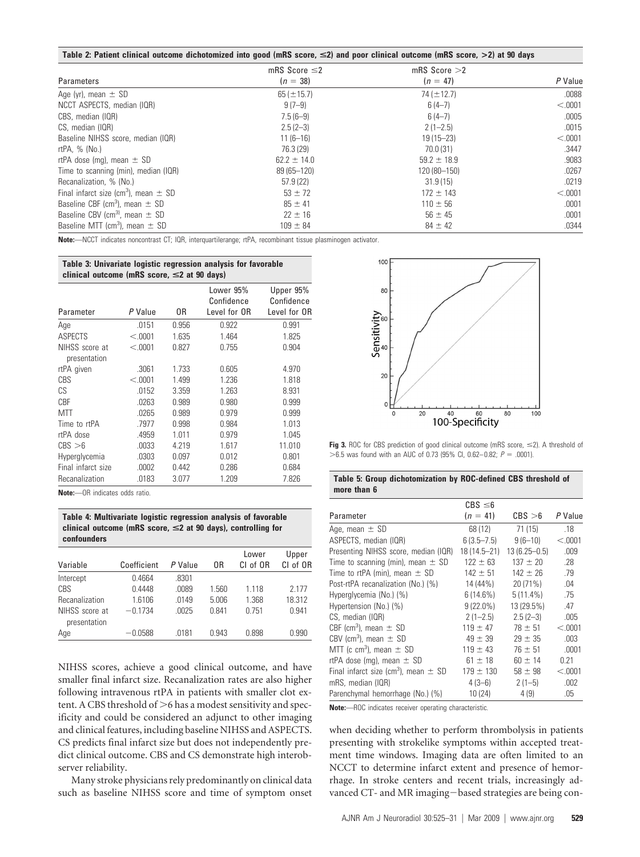| Table 2: Patient clinical outcome dichotomized into good (mRS score, $\leq$ ) and poor clinical outcome (mRS score, >2) at 90 days |  |
|------------------------------------------------------------------------------------------------------------------------------------|--|
|------------------------------------------------------------------------------------------------------------------------------------|--|

|                                                      | mRS Score $\leq$ 2 | mRS Score $>2$   |         |
|------------------------------------------------------|--------------------|------------------|---------|
| Parameters                                           | $(n = 38)$         | $(n = 47)$       | P Value |
| Age (yr), mean $\pm$ SD                              | $65 (\pm 15.7)$    | 74 ( $\pm$ 12.7) | .0088   |
| NCCT ASPECTS, median (IQR)                           | $9(7-9)$           | $6(4-7)$         | < 0.001 |
| CBS, median (IQR)                                    | $7.5(6-9)$         | $6(4-7)$         | .0005   |
| CS, median (IQR)                                     | $2.5(2-3)$         | $2(1-2.5)$       | .0015   |
| Baseline NIHSS score, median (IQR)                   | $11(6-16)$         | $19(15 - 23)$    | < 0001  |
| rtPA, % (No.)                                        | 76.3 (29)          | 70.0 (31)        | .3447   |
| rtPA dose (mg), mean $\pm$ SD                        | $62.2 \pm 14.0$    | $59.2 \pm 18.9$  | .9083   |
| Time to scanning (min), median (IQR)                 | 89 (65-120)        | 120 (80-150)     | .0267   |
| Recanalization, % (No.)                              | 57.9 (22)          | 31.9(15)         | .0219   |
| Final infarct size (cm <sup>3</sup> ), mean $\pm$ SD | $53 \pm 72$        | $172 \pm 143$    | < 0.001 |
| Baseline CBF (cm <sup>3</sup> ), mean $\pm$ SD       | $85 \pm 41$        | $110 \pm 56$     | .0001   |
| Baseline CBV (cm <sup>3)</sup> , mean $\pm$ SD       | $22 \pm 16$        | $56 \pm 45$      | .0001   |
| Baseline MTT (cm <sup>3</sup> ), mean $\pm$ SD       | $109 \pm 84$       | $84 \pm 42$      | .0344   |

**Note:**—NCCT indicates noncontrast CT; IQR, interquartilerange; rtPA, recombinant tissue plasminogen activator.

| clinical outcome (mRS score, $\leq$ 2 at 90 days) |         |       |                                         |                                         |  |  |
|---------------------------------------------------|---------|-------|-----------------------------------------|-----------------------------------------|--|--|
| Parameter                                         | P Value | 0R    | Lower 95%<br>Confidence<br>Level for OR | Upper 95%<br>Confidence<br>Level for OR |  |  |
| Age                                               | .0151   | 0.956 | 0.922                                   | 0.991                                   |  |  |
| <b>ASPECTS</b>                                    | < 0.001 | 1.635 | 1.464                                   | 1.825                                   |  |  |
| NIHSS score at<br>presentation                    | < 0.001 | 0.827 | 0.755                                   | 0.904                                   |  |  |
| rtPA given                                        | .3061   | 1.733 | 0.605                                   | 4.970                                   |  |  |
| <b>CBS</b>                                        | < 0.001 | 1.499 | 1.236                                   | 1.818                                   |  |  |
| CS                                                | .0152   | 3.359 | 1.263                                   | 8.931                                   |  |  |
| CBF                                               | .0263   | 0.989 | 0.980                                   | 0.999                                   |  |  |
| <b>MTT</b>                                        | .0265   | 0.989 | 0.979                                   | 0.999                                   |  |  |
| Time to rtPA                                      | .7977   | 0.998 | 0.984                                   | 1.013                                   |  |  |
| rtPA dose                                         | .4959   | 1.011 | 0.979                                   | 1.045                                   |  |  |
| CBS > 6                                           | .0033   | 4.219 | 1.617                                   | 11.010                                  |  |  |
| Hyperglycemia                                     | .0303   | 0.097 | 0.012                                   | 0.801                                   |  |  |
| Final infarct size                                | .0002   | 0.442 | 0.286                                   | 0.684                                   |  |  |
| Recanalization                                    | .0183   | 3.077 | 1.209                                   | 7.826                                   |  |  |

**Table 3: Univariate logistic regression analysis for favorable**

**Note:**—OR indicates odds ratio.

**Table 4: Multivariate logistic regression analysis of favorable clinical outcome (mRS score,** <**2 at 90 days), controlling for confounders**

| Variable                       | Coefficient | P Value | 0R    | Lower<br>CI of OR | Upper<br>CI of OR |
|--------------------------------|-------------|---------|-------|-------------------|-------------------|
| Intercept                      | 0.4664      | .8301   |       |                   |                   |
| CBS                            | 0.4448      | .0089   | 1.560 | 1.118             | 2.177             |
| Recanalization                 | 1.6106      | .0149   | 5.006 | 1.368             | 18.312            |
| NIHSS score at<br>presentation | $-0.1734$   | .0025   | 0.841 | 0.751             | 0.941             |
| Age                            | $-0.0588$   | .0181   | 0.943 | 0.898             | 0.990             |

NIHSS scores, achieve a good clinical outcome, and have smaller final infarct size. Recanalization rates are also higher following intravenous rtPA in patients with smaller clot extent. A CBS threshold of  $>$ 6 has a modest sensitivity and specificity and could be considered an adjunct to other imaging and clinical features, including baseline NIHSS and ASPECTS. CS predicts final infarct size but does not independently predict clinical outcome. CBS and CS demonstrate high interobserver reliability.

Many stroke physicians rely predominantly on clinical data such as baseline NIHSS score and time of symptom onset



**Fig 3.** ROC for CBS prediction of good clinical outcome (mRS score,  $\leq$ 2). A threshold of  $>6.5$  was found with an AUC of 0.73 (95% CI, 0.62-0.82;  $P = .0001$ ).

|             | Table 5: Group dichotomization by ROC-defined CBS threshold of |  |  |  |
|-------------|----------------------------------------------------------------|--|--|--|
| more than 6 |                                                                |  |  |  |

|                                                      | $CBS \leq 6$   |                    |         |
|------------------------------------------------------|----------------|--------------------|---------|
| Parameter                                            | $(n = 41)$     | $\texttt{CBS} > 6$ | P Value |
| Age, mean $\pm$ SD                                   | 68 (12)        | 71 (15)            | .18     |
| ASPECTS, median (IQR)                                | $6(3.5 - 7.5)$ | $9(6 - 10)$        | < 0.001 |
| Presenting NIHSS score, median (IQR)                 | 18 (14.5-21)   | $13(6.25 - 0.5)$   | .009    |
| Time to scanning (min), mean $\pm$ SD                | $122 \pm 63$   | $137 \pm 20$       | .28     |
| Time to rtPA (min), mean $\pm$ SD                    | $142 \pm 51$   | $142 + 26$         | .79     |
| Post-rtPA recanalization (No.) (%)                   | 14 (44%)       | 20 (71%)           | .04     |
| Hyperglycemia (No.) (%)                              | $6(14.6\%)$    | $5(11.4\%)$        | .75     |
| Hypertension (No.) (%)                               | $9(22.0\%)$    | 13 (29.5%)         | .47     |
| CS. median (IQR)                                     | $2(1-2.5)$     | $2.5(2-3)$         | .005    |
| CBF (cm <sup>3</sup> ), mean $\pm$ SD                | $119 \pm 47$   | $78 \pm 51$        | < 0001  |
| CBV (cm <sup>3</sup> ), mean $\pm$ SD                | $49 \pm 39$    | $29 \pm 35$        | .003    |
| MTT (c cm <sup>3</sup> ), mean $\pm$ SD              | $119 \pm 43$   | $76 \pm 51$        | .0001   |
| rtPA dose (mq), mean $\pm$ SD                        | $61 \pm 18$    | $60 \pm 14$        | 0.21    |
| Final infarct size (cm <sup>3</sup> ), mean $\pm$ SD | $179 \pm 130$  | $58 \pm 98$        | < 0001  |
| mRS, median (IQR)                                    | $4(3-6)$       | $2(1-5)$           | .002    |
| Parenchymal hemorrhage (No.) (%)                     | 10(24)         | 4(9)               | .05     |

**Note:**—ROC indicates receiver operating characteristic.

when deciding whether to perform thrombolysis in patients presenting with strokelike symptoms within accepted treatment time windows. Imaging data are often limited to an NCCT to determine infarct extent and presence of hemorrhage. In stroke centers and recent trials, increasingly advanced CT- and MR imaging-based strategies are being con-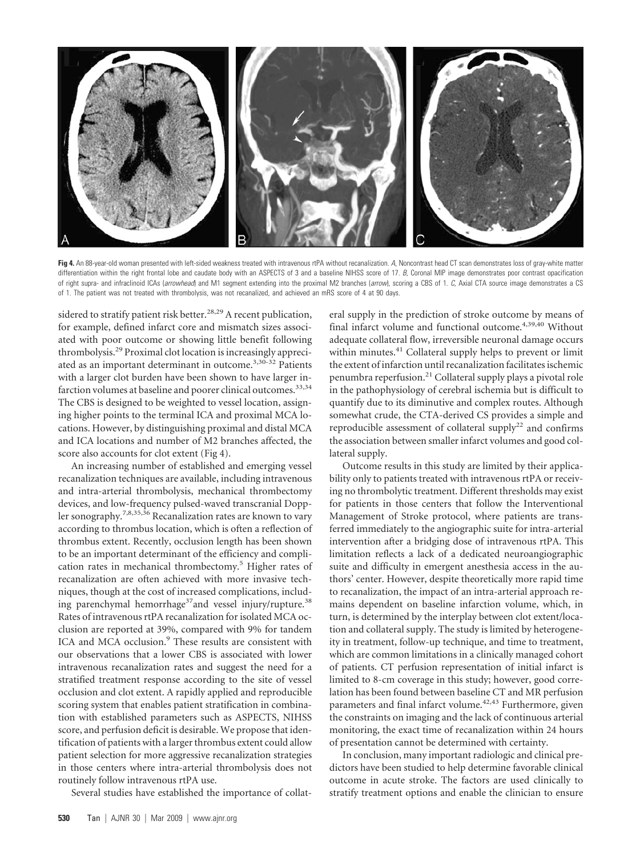

Fig 4. An 88-year-old woman presented with left-sided weakness treated with intravenous rtPA without recanalization. *A*, Noncontrast head CT scan demonstrates loss of gray-white matter differentiation within the right frontal lobe and caudate body with an ASPECTS of 3 and a baseline NIHSS score of 17. *B*, Coronal MIP image demonstrates poor contrast opacification of right supra- and infraclinoid ICAs (*arrowhead*) and M1 segment extending into the proximal M2 branches (*arrow*), scoring a CBS of 1. *C*, Axial CTA source image demonstrates a CS of 1. The patient was not treated with thrombolysis, was not recanalized, and achieved an mRS score of 4 at 90 days.

sidered to stratify patient risk better.<sup>28,29</sup> A recent publication, for example, defined infarct core and mismatch sizes associated with poor outcome or showing little benefit following thrombolysis.29 Proximal clot location is increasingly appreciated as an important determinant in outcome.<sup>3,30-32</sup> Patients with a larger clot burden have been shown to have larger infarction volumes at baseline and poorer clinical outcomes.<sup>33,34</sup> The CBS is designed to be weighted to vessel location, assigning higher points to the terminal ICA and proximal MCA locations. However, by distinguishing proximal and distal MCA and ICA locations and number of M2 branches affected, the score also accounts for clot extent (Fig 4).

An increasing number of established and emerging vessel recanalization techniques are available, including intravenous and intra-arterial thrombolysis, mechanical thrombectomy devices, and low-frequency pulsed-waved transcranial Doppler sonography.7,8,35,36 Recanalization rates are known to vary according to thrombus location, which is often a reflection of thrombus extent. Recently, occlusion length has been shown to be an important determinant of the efficiency and complication rates in mechanical thrombectomy.5 Higher rates of recanalization are often achieved with more invasive techniques, though at the cost of increased complications, including parenchymal hemorrhage<sup>37</sup>and vessel injury/rupture.<sup>38</sup> Rates of intravenous rtPA recanalization for isolated MCA occlusion are reported at 39%, compared with 9% for tandem ICA and MCA occlusion.<sup>9</sup> These results are consistent with our observations that a lower CBS is associated with lower intravenous recanalization rates and suggest the need for a stratified treatment response according to the site of vessel occlusion and clot extent. A rapidly applied and reproducible scoring system that enables patient stratification in combination with established parameters such as ASPECTS, NIHSS score, and perfusion deficit is desirable. We propose that identification of patients with a larger thrombus extent could allow patient selection for more aggressive recanalization strategies in those centers where intra-arterial thrombolysis does not routinely follow intravenous rtPA use.

Several studies have established the importance of collat-

eral supply in the prediction of stroke outcome by means of final infarct volume and functional outcome.<sup>4,39,40</sup> Without adequate collateral flow, irreversible neuronal damage occurs within minutes.<sup>41</sup> Collateral supply helps to prevent or limit the extent of infarction until recanalization facilitates ischemic penumbra reperfusion.21 Collateral supply plays a pivotal role in the pathophysiology of cerebral ischemia but is difficult to quantify due to its diminutive and complex routes. Although somewhat crude, the CTA-derived CS provides a simple and reproducible assessment of collateral supply<sup>22</sup> and confirms the association between smaller infarct volumes and good collateral supply.

Outcome results in this study are limited by their applicability only to patients treated with intravenous rtPA or receiving no thrombolytic treatment. Different thresholds may exist for patients in those centers that follow the Interventional Management of Stroke protocol, where patients are transferred immediately to the angiographic suite for intra-arterial intervention after a bridging dose of intravenous rtPA. This limitation reflects a lack of a dedicated neuroangiographic suite and difficulty in emergent anesthesia access in the authors' center. However, despite theoretically more rapid time to recanalization, the impact of an intra-arterial approach remains dependent on baseline infarction volume, which, in turn, is determined by the interplay between clot extent/location and collateral supply. The study is limited by heterogeneity in treatment, follow-up technique, and time to treatment, which are common limitations in a clinically managed cohort of patients. CT perfusion representation of initial infarct is limited to 8-cm coverage in this study; however, good correlation has been found between baseline CT and MR perfusion parameters and final infarct volume.<sup>42,43</sup> Furthermore, given the constraints on imaging and the lack of continuous arterial monitoring, the exact time of recanalization within 24 hours of presentation cannot be determined with certainty.

In conclusion, many important radiologic and clinical predictors have been studied to help determine favorable clinical outcome in acute stroke. The factors are used clinically to stratify treatment options and enable the clinician to ensure